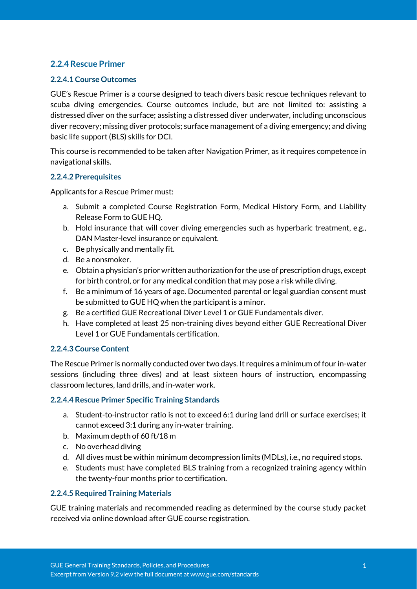# **2.2.4 Rescue Primer**

#### **2.2.4.1 Course Outcomes**

GUE's Rescue Primer is a course designed to teach divers basic rescue techniques relevant to scuba diving emergencies. Course outcomes include, but are not limited to: assisting a distressed diver on the surface; assisting a distressed diver underwater, including unconscious diver recovery; missing diver protocols; surface management of a diving emergency; and diving basic life support (BLS) skills for DCI.

This course is recommended to be taken after Navigation Primer, as it requires competence in navigational skills.

#### **2.2.4.2 Prerequisites**

Applicants for a Rescue Primer must:

- a. Submit a completed Course Registration Form, Medical History Form, and Liability Release Form to GUE HQ.
- b. Hold insurance that will cover diving emergencies such as hyperbaric treatment, e.g., DAN Master-level insurance or equivalent.
- c. Be physically and mentally fit.
- d. Be a nonsmoker.
- e. Obtain a physician's prior written authorization for the use of prescription drugs, except for birth control, or for any medical condition that may pose a risk while diving.
- f. Be a minimum of 16 years of age. Documented parental or legal guardian consent must be submitted to GUE HQ when the participant is a minor.
- g. Be a certified GUE Recreational Diver Level 1 or GUE Fundamentals diver.
- h. Have completed at least 25 non-training dives beyond either GUE Recreational Diver Level 1 or GUE Fundamentals certification.

#### **2.2.4.3 Course Content**

The Rescue Primer is normally conducted over two days. It requires a minimum of four in-water sessions (including three dives) and at least sixteen hours of instruction, encompassing classroom lectures, land drills, and in-water work.

#### **2.2.4.4 Rescue Primer Specific Training Standards**

- a. Student-to-instructor ratio is not to exceed 6:1 during land drill or surface exercises; it cannot exceed 3:1 during any in-water training.
- b. Maximum depth of 60 ft/18 m
- c. No overhead diving
- d. All dives must be within minimum decompression limits (MDLs), i.e., no required stops.
- e. Students must have completed BLS training from a recognized training agency within the twenty-four months prior to certification.

### **2.2.4.5 Required Training Materials**

GUE training materials and recommended reading as determined by the course study packet received via online download after GUE course registration.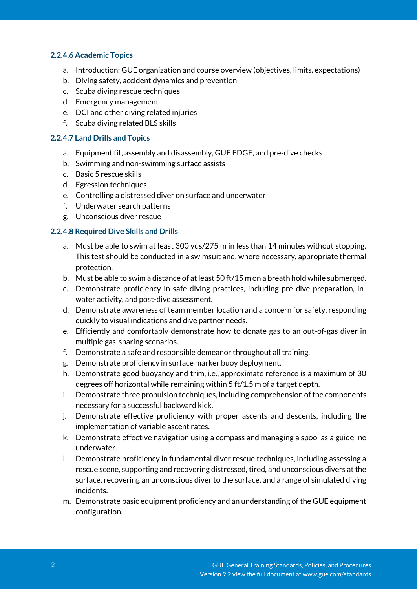#### **2.2.4.6 Academic Topics**

- a. Introduction: GUE organization and course overview (objectives, limits, expectations)
- b. Diving safety, accident dynamics and prevention
- c. Scuba diving rescue techniques
- d. Emergency management
- e. DCI and other diving related injuries
- f. Scuba diving related BLS skills

#### **2.2.4.7 Land Drills and Topics**

- a. Equipment fit, assembly and disassembly, GUE EDGE, and pre-dive checks
- b. Swimming and non-swimming surface assists
- c. Basic 5 rescue skills
- d. Egression techniques
- e. Controlling a distressed diver on surface and underwater
- f. Underwater search patterns
- g. Unconscious diver rescue

#### **2.2.4.8 Required Dive Skills and Drills**

- a. Must be able to swim at least 300 yds/275 m in less than 14 minutes without stopping. This test should be conducted in a swimsuit and, where necessary, appropriate thermal protection.
- b. Must be able to swim a distance of at least 50 ft/15 m on a breath hold while submerged.
- c. Demonstrate proficiency in safe diving practices, including pre-dive preparation, inwater activity, and post-dive assessment.
- d. Demonstrate awareness of team member location and a concern for safety, responding quickly to visual indications and dive partner needs.
- e. Efficiently and comfortably demonstrate how to donate gas to an out-of-gas diver in multiple gas-sharing scenarios.
- f. Demonstrate a safe and responsible demeanor throughout all training.
- g. Demonstrate proficiency in surface marker buoy deployment.
- h. Demonstrate good buoyancy and trim, i.e., approximate reference is a maximum of 30 degrees off horizontal while remaining within 5 ft/1.5 m of a target depth.
- i. Demonstrate three propulsion techniques, including comprehension of the components necessary for a successful backward kick.
- j. Demonstrate effective proficiency with proper ascents and descents, including the implementation of variable ascent rates.
- k. Demonstrate effective navigation using a compass and managing a spool as a guideline underwater.
- l. Demonstrate proficiency in fundamental diver rescue techniques, including assessing a rescue scene, supporting and recovering distressed, tired, and unconscious divers at the surface, recovering an unconscious diver to the surface, and a range of simulated diving incidents.
- m. Demonstrate basic equipment proficiency and an understanding of the GUE equipment configuration.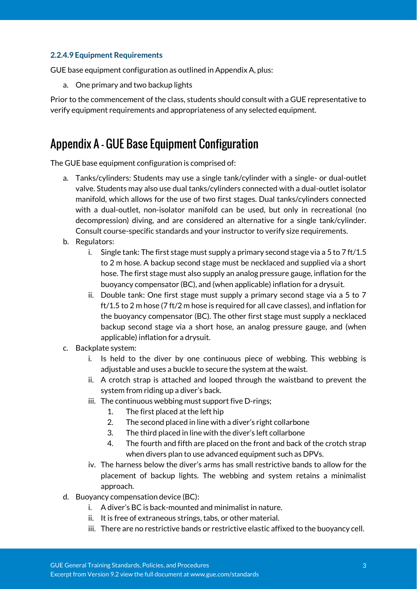## **2.2.4.9 Equipment Requirements**

GUE base equipment configuration as outlined in Appendix A, plus:

a. One primary and two backup lights

Prior to the commencement of the class, students should consult with a GUE representative to verify equipment requirements and appropriateness of any selected equipment.

# Appendix A - GUE Base Equipment Configuration

The GUE base equipment configuration is comprised of:

- a. Tanks/cylinders: Students may use a single tank/cylinder with a single- or dual-outlet valve. Students may also use dual tanks/cylinders connected with a dual-outlet isolator manifold, which allows for the use of two first stages. Dual tanks/cylinders connected with a dual-outlet, non-isolator manifold can be used, but only in recreational (no decompression) diving, and are considered an alternative for a single tank/cylinder. Consult course-specific standards and your instructor to verify size requirements.
- b. Regulators:
	- i. Single tank: The first stage must supply a primary second stage via a 5 to 7 ft/1.5 to 2 m hose. A backup second stage must be necklaced and supplied via a short hose. The first stage must also supply an analog pressure gauge, inflation for the buoyancy compensator (BC), and (when applicable) inflation for a drysuit.
	- ii. Double tank: One first stage must supply a primary second stage via a 5 to 7 ft/1.5 to 2 m hose (7 ft/2 m hose is required for all cave classes), and inflation for the buoyancy compensator (BC). The other first stage must supply a necklaced backup second stage via a short hose, an analog pressure gauge, and (when applicable) inflation for a drysuit.
- c. Backplate system:
	- i. Is held to the diver by one continuous piece of webbing. This webbing is adjustable and uses a buckle to secure the system at the waist.
	- ii. A crotch strap is attached and looped through the waistband to prevent the system from riding up a diver's back.
	- iii. The continuous webbing must support five D-rings;
		- 1. The first placed at the left hip
		- 2. The second placed in line with a diver's right collarbone
		- 3. The third placed in line with the diver's left collarbone
		- 4. The fourth and fifth are placed on the front and back of the crotch strap when divers plan to use advanced equipment such as DPVs.
	- iv. The harness below the diver's arms has small restrictive bands to allow for the placement of backup lights. The webbing and system retains a minimalist approach.
- d. Buoyancy compensation device (BC):
	- i. A diver's BC is back-mounted and minimalist in nature.
	- ii. It is free of extraneous strings, tabs, or other material.
	- iii. There are no restrictive bands or restrictive elastic affixed to the buoyancy cell.